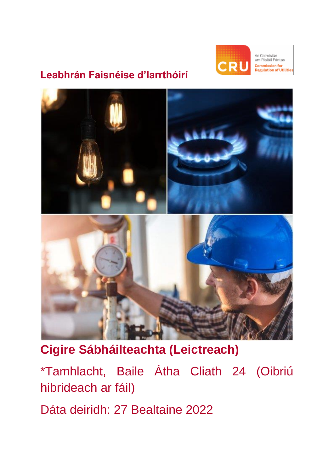

An Coimisiún um Rialáil Fóntas nmission for ulation of Utilities

# **Leabhrán Faisnéise d'Iarrthóirí**



# **Cigire Sábháilteachta (Leictreach)**

\*Tamhlacht, Baile Átha Cliath 24 (Oibriú hibrideach ar fáil)

Dáta deiridh: 27 Bealtaine 2022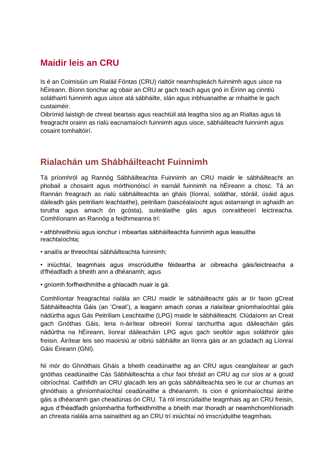### **Maidir leis an CRU**

Is é an Coimisiún um Rialáil Fóntas (CRU) rialtóir neamhspleách fuinnimh agus uisce na hÉireann. Bíonn tionchar ag obair an CRU ar gach teach agus gnó in Éirinn ag cinntiú soláthairtí fuinnimh agus uisce atá sábháilte, slán agus inbhuanaithe ar mhaithe le gach custaiméir.

Oibrímid laistigh de chreat beartais agus reachtúil atá leagtha síos ag an Rialtas agus tá freagracht orainn as rialú eacnamaíoch fuinnimh agus uisce, sábháilteacht fuinnimh agus cosaint tomhaltóirí.

# **Rialachán um Shábháilteacht Fuinnimh**

Tá príomhról ag Rannóg Sábháilteachta Fuinnimh an CRU maidir le sábháilteacht an phobail a chosaint agus mórthionóiscí in earnáil fuinnimh na hÉireann a chosc. Tá an Rannán freagrach as rialú sábháilteachta an gháis (líonraí, soláthar, stóráil, úsáid agus dáileadh gáis peitriliam leachtaithe), peitriliam (taiscéalaíocht agus astarraingt in aghaidh an tsrutha agus amach ón gcósta), suiteálaithe gáis agus conraitheoirí leictreacha. Comhlíonann an Rannóg a feidhmeanna trí:

• athbhreithniú agus ionchur i mbeartas sábháilteachta fuinnimh agus leasuithe reachtaíochta;

• anailís ar threochtaí sábháilteachta fuinnimh;

• iniúchtaí, teagmhais agus imscrúduithe féideartha ar oibreacha gáis/leictreacha a d'fhéadfadh a bheith ann a dhéanamh; agus

• gníomh forfheidhmithe a ghlacadh nuair is gá.

Comhlíontar freagrachtaí rialála an CRU maidir le sábháilteacht gáis ar tír faoin gCreat Sábháilteachta Gáis (an 'Creat'), a leagann amach conas a rialaítear gníomhaíochtaí gáis nádúrtha agus Gás Peitriliam Leachtaithe (LPG) maidir le sábháilteacht. Clúdaíonn an Creat gach Gnóthas Gáis, lena n-áirítear oibreoirí líonraí tarchurtha agus dáileacháin gáis nádúrtha na hÉireann, líonraí dáileacháin LPG agus gach seoltóir agus soláthróir gáis freisin. Áirítear leis seo maoirsiú ar oibriú sábháilte an líonra gáis ar an gcladach ag Líonraí Gáis Éireann (GNI).

Ní mór do Ghnóthais Gháis a bheith ceadúnaithe ag an CRU agus ceanglaítear ar gach gnóthas ceadúnaithe Cás Sábháilteachta a chur faoi bhráid an CRU ag cur síos ar a gcuid oibríochtaí. Caithfidh an CRU glacadh leis an gcás sábháilteachta seo le cur ar chumas an ghnóthais a ghníomhaíochtaí ceadúnaithe a dhéanamh. Is cion é gníomhaíochtaí áirithe gáis a dhéanamh gan cheadúnas ón CRU. Tá ról imscrúdaithe teagmhais ag an CRU freisin, agus d'fhéadfadh gníomhartha forfheidhmithe a bheith mar thoradh ar neamhchomhlíonadh an chreata rialála arna sainaithint ag an CRU trí iniúchtaí nó imscrúduithe teagmhais.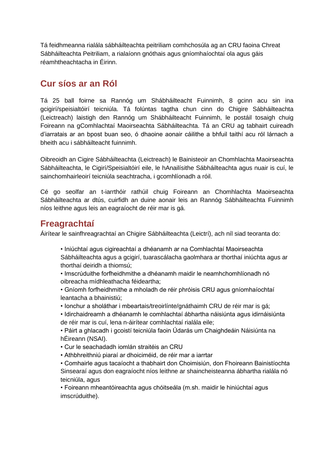Tá feidhmeanna rialála sábháilteachta peitriliam comhchosúla ag an CRU faoina Chreat Sábháilteachta Peitriliam, a rialaíonn gnóthais agus gníomhaíochtaí ola agus gáis réamhtheachtacha in Éirinn.

## **Cur síos ar an Ról**

Tá 25 ball foirne sa Rannóg um Shábháilteacht Fuinnimh, 8 gcinn acu sin ina gcigirí/speisialtóirí teicniúla. Tá folúntas tagtha chun cinn do Chigire Sábháilteachta (Leictreach) laistigh den Rannóg um Shábháilteacht Fuinnimh, le postáil tosaigh chuig Foireann na gComhlachtaí Maoirseachta Sábháilteachta. Tá an CRU ag tabhairt cuireadh d'iarratais ar an bpost buan seo, ó dhaoine aonair cáilithe a bhfuil taithí acu ról lárnach a bheith acu i sábháilteacht fuinnimh.

Oibreoidh an Cigire Sábháilteachta (Leictreach) le Bainisteoir an Chomhlachta Maoirseachta Sábháilteachta, le Cigirí/Speisialtóirí eile, le hAnailísithe Sábháilteachta agus nuair is cuí, le sainchomhairleoirí teicniúla seachtracha, i gcomhlíonadh a róil.

Cé go seolfar an t-iarrthóir rathúil chuig Foireann an Chomhlachta Maoirseachta Sábháilteachta ar dtús, cuirfidh an duine aonair leis an Rannóg Sábháilteachta Fuinnimh níos leithne agus leis an eagraíocht de réir mar is gá.

### **Freagrachtaí**

Áirítear le sainfhreagrachtaí an Chigire Sábháilteachta (Leictrí), ach níl siad teoranta do:

• Iniúchtaí agus cigireachtaí a dhéanamh ar na Comhlachtaí Maoirseachta Sábháilteachta agus a gcigirí, tuarascálacha gaolmhara ar thorthaí iniúchta agus ar thorthaí deiridh a thiomsú;

• Imscrúduithe forfheidhmithe a dhéanamh maidir le neamhchomhlíonadh nó oibreacha mídhleathacha féideartha;

- Gníomh forfheidhmithe a mholadh de réir phróisis CRU agus gníomhaíochtaí leantacha a bhainistiú;
- Ionchur a sholáthar i mbeartais/treoirlínte/gnáthaimh CRU de réir mar is gá;

• Idirchaidreamh a dhéanamh le comhlachtaí ábhartha náisiúnta agus idirnáisiúnta de réir mar is cuí, lena n-áirítear comhlachtaí rialála eile;

• Páirt a ghlacadh i gcoistí teicniúla faoin Údarás um Chaighdeáin Náisiúnta na hÉireann (NSAI).

• Cur le seachadadh iomlán straitéis an CRU

• Athbhreithniú piaraí ar dhoiciméid, de réir mar a iarrtar

• Comhairle agus tacaíocht a thabhairt don Choimisiún, don Fhoireann Bainistíochta Sinsearaí agus don eagraíocht níos leithne ar shaincheisteanna ábhartha rialála nó teicniúla, agus

• Foireann mheantóireachta agus chóitseála (m.sh. maidir le hiniúchtaí agus imscrúduithe).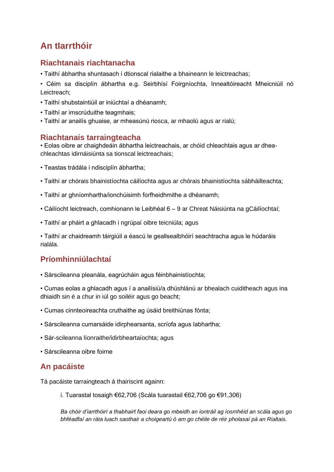# **An tIarrthóir**

### **Riachtanais riachtanacha**

• Taithí ábhartha shuntasach i dtionscal rialaithe a bhaineann le leictreachas;

• Céim sa disciplín ábhartha e.g. Seirbhísí Foirgníochta, Innealtóireacht Mheicniúil nó Leictreach;

- Taithí shubstaintiúil ar iniúchtaí a dhéanamh;
- Taithí ar imscrúduithe teagmhais;
- Taithí ar anailís ghuaise, ar mheasúnú riosca, ar mhaolú agus ar rialú;

#### **Riachtanais tarraingteacha**

• Eolas oibre ar chaighdeáin ábhartha leictreachais, ar chóid chleachtais agus ar dheachleachtas idirnáisiúnta sa tionscal leictreachais;

- Teastas trádála i ndisciplín ábhartha;
- Taithí ar chórais bhainistíochta cáilíochta agus ar chórais bhainistíochta sábháilteachta;
- Taithí ar ghníomhartha/ionchúisimh forfheidhmithe a dhéanamh;
- Cáilíocht leictreach, comhionann le Leibhéal 6 9 ar Chreat Náisiúnta na gCáilíochtaí;
- Taithí ar pháirt a ghlacadh i ngrúpaí oibre teicniúla; agus

• Taithí ar chaidreamh táirgiúil a éascú le geallsealbhóirí seachtracha agus le húdaráis rialála.

### **Príomhinniúlachtaí**

• Sárscileanna pleanála, eagrúcháin agus féinbhainistíochta;

• Cumas eolas a ghlacadh agus í a anailísiú/a dhúshlánú ar bhealach cuiditheach agus ina dhiaidh sin é a chur in iúl go soiléir agus go beacht;

- Cumas cinnteoireachta cruthaithe ag úsáid breithiúnas fónta;
- Sárscileanna cumarsáide idirphearsanta, scríofa agus labhartha;
- Sár-scileanna líonraithe/idirbheartaíochta; agus
- Sárscileanna oibre foirne

### **An pacáiste**

Tá pacáiste tarraingteach á thairiscint againn:

i. Tuarastal tosaigh €62,706 (Scála tuarastail €62,706 go €91,306)

*Ba chóir d'iarrthóirí a thabhairt faoi deara go mbeidh an iontráil ag íosmhéid an scála agus go bhféadfaí an ráta luach saothair a choigeartú ó am go chéile de réir pholasaí pá an Rialtais.*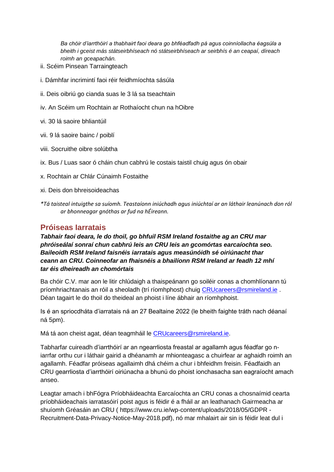*Ba chóir d'iarrthóirí a thabhairt faoi deara go bhféadfadh pá agus coinníollacha éagsúla a bheith i gceist más státseirbhíseach nó státseirbhíseach ar seirbhís é an ceapaí, díreach roimh an gceapachán.* 

- ii. Scéim Pinsean Tarraingteach
- i. Dámhfar incrimintí faoi réir feidhmíochta sásúla
- ii. Deis oibriú go cianda suas le 3 lá sa tseachtain
- iv. An Scéim um Rochtain ar Rothaíocht chun na hOibre
- vi. 30 lá saoire bhliantúil
- vii. 9 lá saoire bainc / poiblí
- viii. Socruithe oibre solúbtha
- ix. Bus / Luas saor ó cháin chun cabhrú le costais taistil chuig agus ón obair
- x. Rochtain ar Chlár Cúnaimh Fostaithe
- xi. Deis don bhreisoideachas
- *\*Tá taisteal intuigthe sa suíomh. Teastaíonn iniúchadh agus iniúchtaí ar an láthair leanúnach don ról ar bhonneagar gnóthas ar fud na hÉireann.*

#### **Próiseas Iarratais**

*Tabhair faoi deara, le do thoil, go bhfuil RSM Ireland fostaithe ag an CRU mar phróiseálaí sonraí chun cabhrú leis an CRU leis an gcomórtas earcaíochta seo. Baileoidh RSM Ireland faisnéis iarratais agus measúnóidh sé oiriúnacht thar ceann an CRU. Coinneofar an fhaisnéis a bhailíonn RSM Ireland ar feadh 12 mhí tar éis dheireadh an chomórtais* 

Ba chóir C.V. mar aon le litir chlúdaigh a thaispeánann go soiléir conas a chomhlíonann tú príomhriachtanais an róil a sheoladh (trí ríomhphost) chuig [CRUcareers@rsmireland.ie](mailto:CRUcareers@rsmireland.ie) . Déan tagairt le do thoil do theideal an phoist i líne ábhair an ríomhphoist.

Is é an spriocdháta d'iarratais ná an 27 Bealtaine 2022 (le bheith faighte tráth nach déanaí ná 5pm).

Má tá aon cheist agat, déan teagmháil le [CRUcareers@rsmireland.ie.](mailto:CRUcareers@rsmireland.ie)

Tabharfar cuireadh d'iarrthóirí ar an ngearrliosta freastal ar agallamh agus féadfar go niarrfar orthu cur i láthair gairid a dhéanamh ar mhionteagasc a chuirfear ar aghaidh roimh an agallamh. Féadfar próiseas agallaimh dhá chéim a chur i bhfeidhm freisin. Féadfaidh an CRU gearrliosta d'iarrthóirí oiriúnacha a bhunú do phoist ionchasacha san eagraíocht amach anseo.

Leagtar amach i bhFógra Príobháideachta Earcaíochta an CRU conas a chosnaímid cearta príobháideachais iarratasóirí poist agus is féidir é a fháil ar an leathanach Gairmeacha ar shuíomh Gréasáin an CRU ( https://www.cru.ie/wp-content/uploads/2018/05/GDPR - Recruitment-Data-Privacy-Notice-May-2018.pdf), nó mar mhalairt air sin is féidir leat dul i